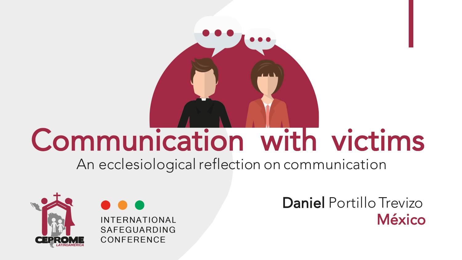

## Communication with victims

An ecclesiological reflection on communication



**INTERNATIONAL** SAFEGUARDING CONFERENCE

Daniel Portillo Trevizo México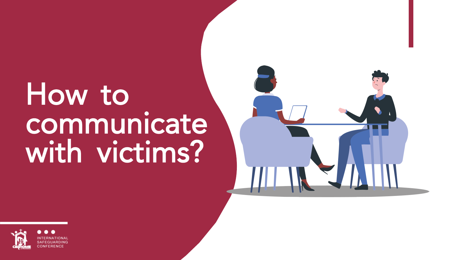## How to communicate with victims?



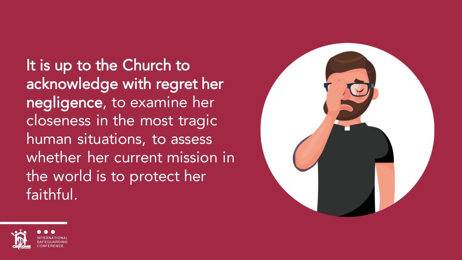It is up to the Church to acknowledge with regret her negligence, to examine her closeness in the most tragic human situations, to assess whether her current mission in the world is to protect her faithful.



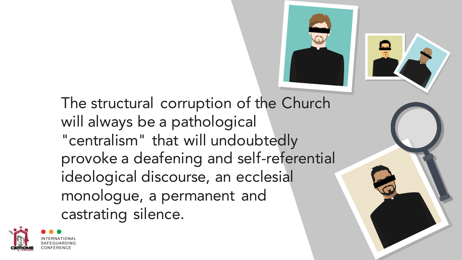



The structural corruption of the Church will always be a pathological "centralism" that will undoubtedly provoke a deafening and self-referential ideological discourse, an ecclesial monologue, a permanent and castrating silence.

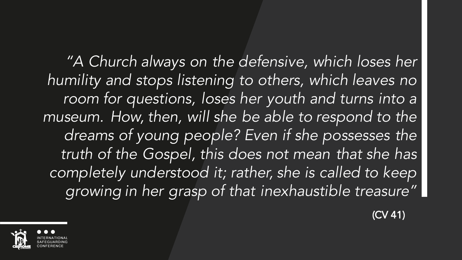*"A Church always on the defensive, which loses her humility and stops listening to others, which leaves no room for questions, loses her youth and turns into a museum. How, then, will she be able to respond to the dreams of young people? Even if she possesses the truth of the Gospel, this does not mean that she has completely understood it; rather, she is called to keep growing in her grasp of that inexhaustible treasure"*

(CV 41)

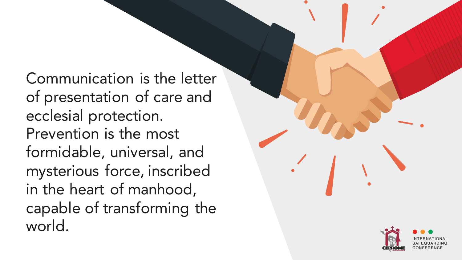Communication is the letter of presentation of care and ecclesial protection. Prevention is the most formidable, universal, and mysterious force, inscribed in the heart of manhood, capable of transforming the world.

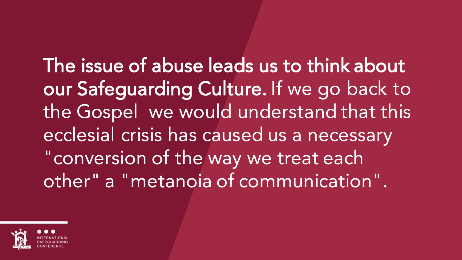The issue of abuse leads us to think about our Safeguarding Culture. If we go back to the Gospel we would understand that this ecclesial crisis has caused us a necessary "conversion of the way we treat each other" a "metanoia of communication".

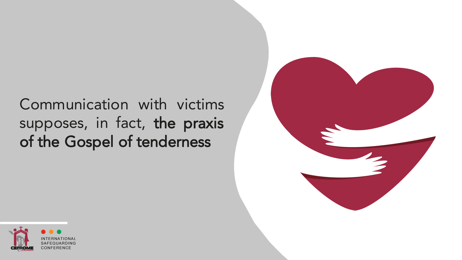Communication with victims supposes, in fact, the praxis of the Gospel of tenderness



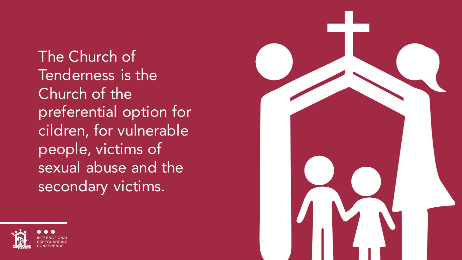The Church of Tenderness is the Church of the preferential option for cildren, for vulnerable people, victims of sexual abuse and the secondary victims.



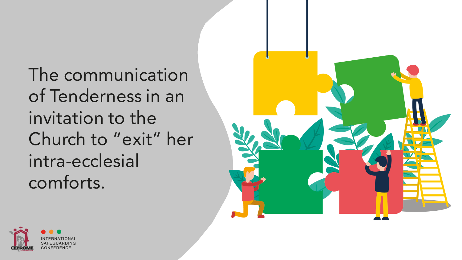The communication of Tenderness in an invitation to the Church to "exit" her intra-ecclesial comforts.



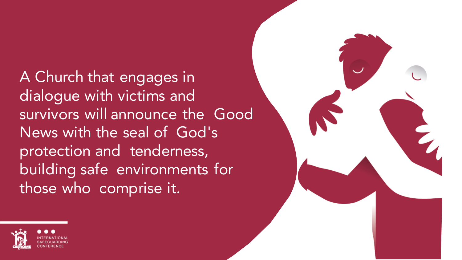A Church that engages in dialogue with victims and survivors will announce the Good News with the seal of God's protection and tenderness, building safe environments for those who comprise it.